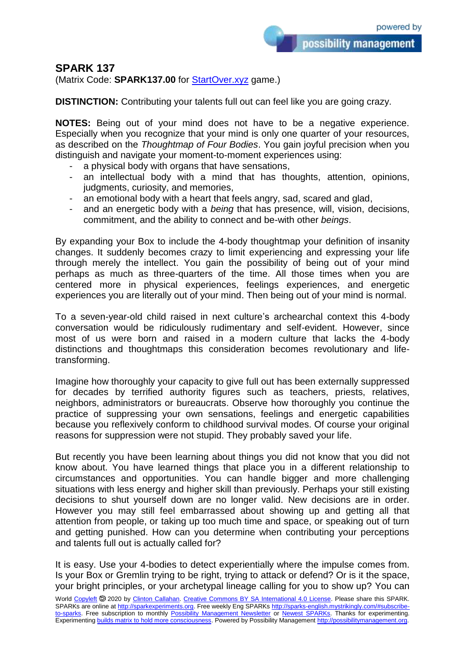possibility management

## **SPARK 137**

(Matrix Code: **SPARK137.00** for **StartOver.xyz** game.)

**DISTINCTION:** Contributing your talents full out can feel like you are going crazy.

**NOTES:** Being out of your mind does not have to be a negative experience. Especially when you recognize that your mind is only one quarter of your resources, as described on the *Thoughtmap of Four Bodies*. You gain joyful precision when you distinguish and navigate your moment-to-moment experiences using:

- a physical body with organs that have sensations,
- an intellectual body with a mind that has thoughts, attention, opinions, judgments, curiosity, and memories,
- an emotional body with a heart that feels angry, sad, scared and glad,
- and an energetic body with a *being* that has presence, will, vision, decisions, commitment, and the ability to connect and be-with other *beings*.

By expanding your Box to include the 4-body thoughtmap your definition of insanity changes. It suddenly becomes crazy to limit experiencing and expressing your life through merely the intellect. You gain the possibility of being out of your mind perhaps as much as three-quarters of the time. All those times when you are centered more in physical experiences, feelings experiences, and energetic experiences you are literally out of your mind. Then being out of your mind is normal.

To a seven-year-old child raised in next culture's archearchal context this 4-body conversation would be ridiculously rudimentary and self-evident. However, since most of us were born and raised in a modern culture that lacks the 4-body distinctions and thoughtmaps this consideration becomes revolutionary and lifetransforming.

Imagine how thoroughly your capacity to give full out has been externally suppressed for decades by terrified authority figures such as teachers, priests, relatives, neighbors, administrators or bureaucrats. Observe how thoroughly you continue the practice of suppressing your own sensations, feelings and energetic capabilities because you reflexively conform to childhood survival modes. Of course your original reasons for suppression were not stupid. They probably saved your life.

But recently you have been learning about things you did not know that you did not know about. You have learned things that place you in a different relationship to circumstances and opportunities. You can handle bigger and more challenging situations with less energy and higher skill than previously. Perhaps your still existing decisions to shut yourself down are no longer valid. New decisions are in order. However you may still feel embarrassed about showing up and getting all that attention from people, or taking up too much time and space, or speaking out of turn and getting punished. How can you determine when contributing your perceptions and talents full out is actually called for?

It is easy. Use your 4-bodies to detect experientially where the impulse comes from. Is your Box or Gremlin trying to be right, trying to attack or defend? Or is it the space, your bright principles, or your archetypal lineage calling for you to show up? You can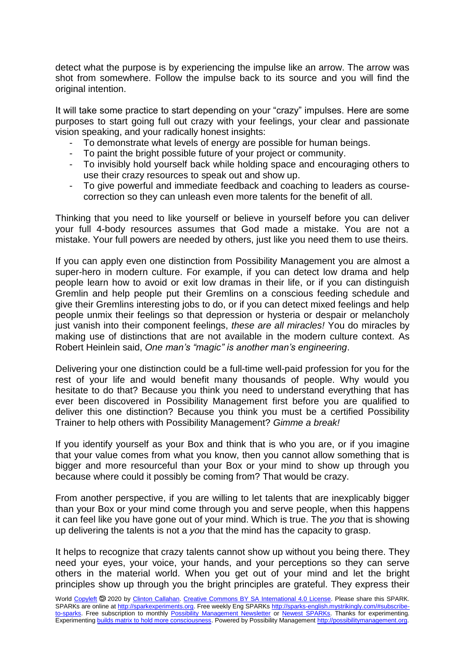detect what the purpose is by experiencing the impulse like an arrow. The arrow was shot from somewhere. Follow the impulse back to its source and you will find the original intention.

It will take some practice to start depending on your "crazy" impulses. Here are some purposes to start going full out crazy with your feelings, your clear and passionate vision speaking, and your radically honest insights:

- To demonstrate what levels of energy are possible for human beings.
- To paint the bright possible future of your project or community.
- To invisibly hold yourself back while holding space and encouraging others to use their crazy resources to speak out and show up.
- To give powerful and immediate feedback and coaching to leaders as coursecorrection so they can unleash even more talents for the benefit of all.

Thinking that you need to like yourself or believe in yourself before you can deliver your full 4-body resources assumes that God made a mistake. You are not a mistake. Your full powers are needed by others, just like you need them to use theirs.

If you can apply even one distinction from Possibility Management you are almost a super-hero in modern culture. For example, if you can detect low drama and help people learn how to avoid or exit low dramas in their life, or if you can distinguish Gremlin and help people put their Gremlins on a conscious feeding schedule and give their Gremlins interesting jobs to do, or if you can detect mixed feelings and help people unmix their feelings so that depression or hysteria or despair or melancholy just vanish into their component feelings, *these are all miracles!* You do miracles by making use of distinctions that are not available in the modern culture context. As Robert Heinlein said, *One man's "magic" is another man's engineering*.

Delivering your one distinction could be a full-time well-paid profession for you for the rest of your life and would benefit many thousands of people. Why would you hesitate to do that? Because you think you need to understand everything that has ever been discovered in Possibility Management first before you are qualified to deliver this one distinction? Because you think you must be a certified Possibility Trainer to help others with Possibility Management? *Gimme a break!*

If you identify yourself as your Box and think that is who you are, or if you imagine that your value comes from what you know, then you cannot allow something that is bigger and more resourceful than your Box or your mind to show up through you because where could it possibly be coming from? That would be crazy.

From another perspective, if you are willing to let talents that are inexplicably bigger than your Box or your mind come through you and serve people, when this happens it can feel like you have gone out of your mind. Which is true. The *you* that is showing up delivering the talents is not a *you* that the mind has the capacity to grasp.

It helps to recognize that crazy talents cannot show up without you being there. They need your eyes, your voice, your hands, and your perceptions so they can serve others in the material world. When you get out of your mind and let the bright principles show up through you the bright principles are grateful. They express their